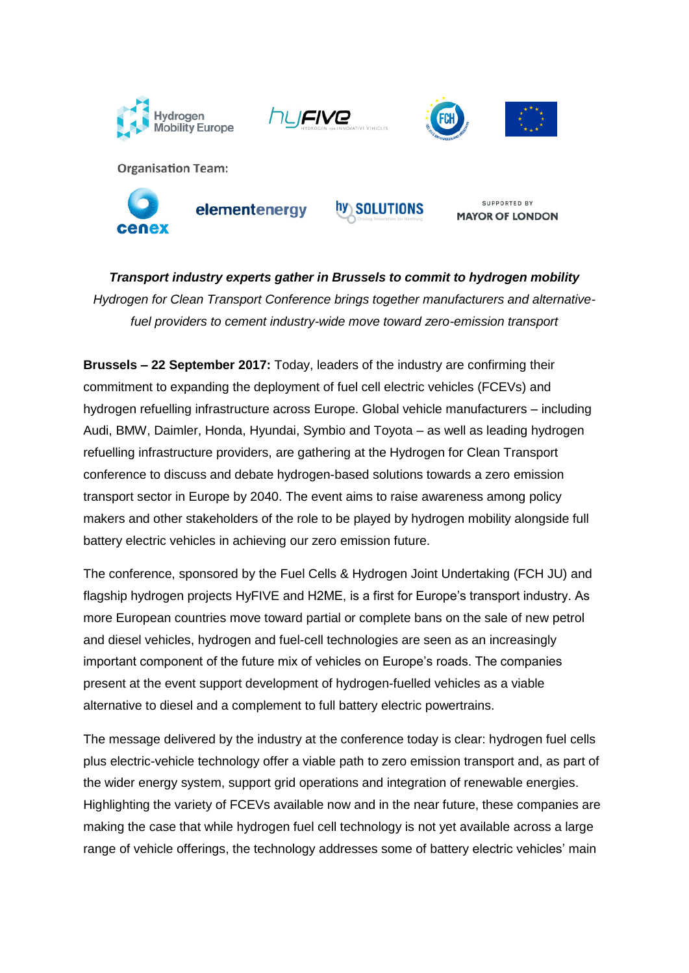







**Organisation Team:** 





SUPPORTED BY **MAYOR OF LONDON** 

*Transport industry experts gather in Brussels to commit to hydrogen mobility Hydrogen for Clean Transport Conference brings together manufacturers and alternativefuel providers to cement industry-wide move toward zero-emission transport*

**Brussels – 22 September 2017:** Today, leaders of the industry are confirming their commitment to expanding the deployment of fuel cell electric vehicles (FCEVs) and hydrogen refuelling infrastructure across Europe. Global vehicle manufacturers – including Audi, BMW, Daimler, Honda, Hyundai, Symbio and Toyota – as well as leading hydrogen refuelling infrastructure providers, are gathering at the Hydrogen for Clean Transport conference to discuss and debate hydrogen-based solutions towards a zero emission transport sector in Europe by 2040. The event aims to raise awareness among policy makers and other stakeholders of the role to be played by hydrogen mobility alongside full battery electric vehicles in achieving our zero emission future.

The conference, sponsored by the Fuel Cells & Hydrogen Joint Undertaking (FCH JU) and flagship hydrogen projects HyFIVE and H2ME, is a first for Europe's transport industry. As more European countries move toward partial or complete bans on the sale of new petrol and diesel vehicles, hydrogen and fuel-cell technologies are seen as an increasingly important component of the future mix of vehicles on Europe's roads. The companies present at the event support development of hydrogen-fuelled vehicles as a viable alternative to diesel and a complement to full battery electric powertrains.

The message delivered by the industry at the conference today is clear: hydrogen fuel cells plus electric-vehicle technology offer a viable path to zero emission transport and, as part of the wider energy system, support grid operations and integration of renewable energies. Highlighting the variety of FCEVs available now and in the near future, these companies are making the case that while hydrogen fuel cell technology is not yet available across a large range of vehicle offerings, the technology addresses some of battery electric vehicles' main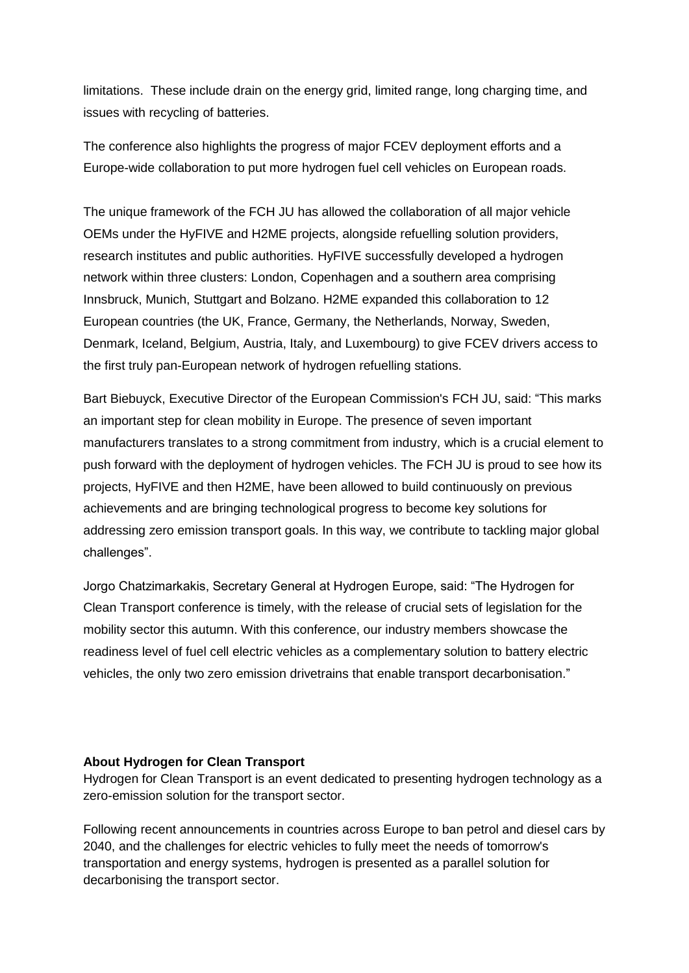limitations. These include drain on the energy grid, limited range, long charging time, and issues with recycling of batteries.

The conference also highlights the progress of major FCEV deployment efforts and a Europe-wide collaboration to put more hydrogen fuel cell vehicles on European roads.

The unique framework of the FCH JU has allowed the collaboration of all major vehicle OEMs under the HyFIVE and H2ME projects, alongside refuelling solution providers, research institutes and public authorities. HyFIVE successfully developed a hydrogen network within three clusters: London, Copenhagen and a southern area comprising Innsbruck, Munich, Stuttgart and Bolzano. H2ME expanded this collaboration to 12 European countries (the UK, France, Germany, the Netherlands, Norway, Sweden, Denmark, Iceland, Belgium, Austria, Italy, and Luxembourg) to give FCEV drivers access to the first truly pan-European network of hydrogen refuelling stations.

Bart Biebuyck, Executive Director of the European Commission's FCH JU, said: "This marks an important step for clean mobility in Europe. The presence of seven important manufacturers translates to a strong commitment from industry, which is a crucial element to push forward with the deployment of hydrogen vehicles. The FCH JU is proud to see how its projects, HyFIVE and then H2ME, have been allowed to build continuously on previous achievements and are bringing technological progress to become key solutions for addressing zero emission transport goals. In this way, we contribute to tackling major global challenges".

Jorgo Chatzimarkakis, Secretary General at Hydrogen Europe, said: "The Hydrogen for Clean Transport conference is timely, with the release of crucial sets of legislation for the mobility sector this autumn. With this conference, our industry members showcase the readiness level of fuel cell electric vehicles as a complementary solution to battery electric vehicles, the only two zero emission drivetrains that enable transport decarbonisation."

## **About Hydrogen for Clean Transport**

Hydrogen for Clean Transport is an event dedicated to presenting hydrogen technology as a zero-emission solution for the transport sector.

Following recent announcements in countries across Europe to ban petrol and diesel cars by 2040, and the challenges for electric vehicles to fully meet the needs of tomorrow's transportation and energy systems, hydrogen is presented as a parallel solution for decarbonising the transport sector.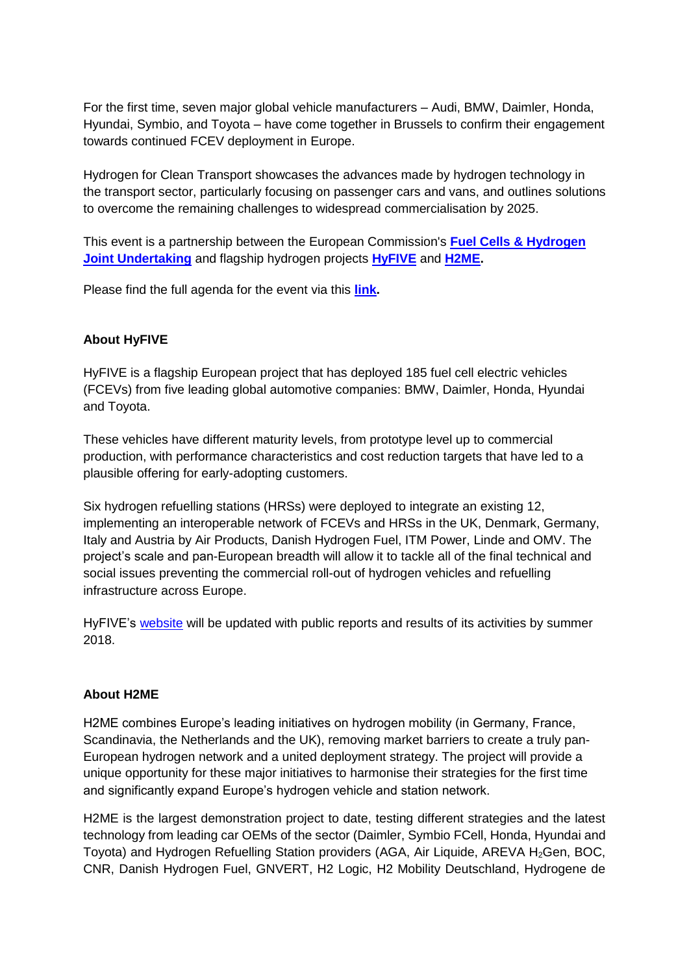For the first time, seven major global vehicle manufacturers – Audi, BMW, Daimler, Honda, Hyundai, Symbio, and Toyota – have come together in Brussels to confirm their engagement towards continued FCEV deployment in Europe.

Hydrogen for Clean Transport showcases the advances made by hydrogen technology in the transport sector, particularly focusing on passenger cars and vans, and outlines solutions to overcome the remaining challenges to widespread commercialisation by 2025.

This event is a partnership between the European Commission's **[Fuel Cells & Hydrogen](http://www.fch.europa.eu/event/hydrogen-clean-transport)  [Joint Undertaking](http://www.fch.europa.eu/event/hydrogen-clean-transport)** and flagship hydrogen projects **[HyFIVE](http://www.hyfive.eu/)** and **[H2ME.](http://h2me.eu/)**

Please find the full agenda for the event via this **[link.](http://h2me.eu/wp-content/uploads/2017/09/Final-Agenda-Hydrogen-for-Clean-Transport.pdf)**

# **About HyFIVE**

HyFIVE is a flagship European project that has deployed 185 fuel cell electric vehicles (FCEVs) from five leading global automotive companies: BMW, Daimler, Honda, Hyundai and Toyota.

These vehicles have different maturity levels, from prototype level up to commercial production, with performance characteristics and cost reduction targets that have led to a plausible offering for early-adopting customers.

Six hydrogen refuelling stations (HRSs) were deployed to integrate an existing 12, implementing an interoperable network of FCEVs and HRSs in the UK, Denmark, Germany, Italy and Austria by Air Products, Danish Hydrogen Fuel, ITM Power, Linde and OMV. The project's scale and pan-European breadth will allow it to tackle all of the final technical and social issues preventing the commercial roll-out of hydrogen vehicles and refuelling infrastructure across Europe.

HyFIVE's [website](http://www.hyfive.eu/) will be updated with public reports and results of its activities by summer 2018.

## **About H2ME**

H2ME combines Europe's leading initiatives on hydrogen mobility (in Germany, France, Scandinavia, the Netherlands and the UK), removing market barriers to create a truly pan-European hydrogen network and a united deployment strategy. The project will provide a unique opportunity for these major initiatives to harmonise their strategies for the first time and significantly expand Europe's hydrogen vehicle and station network.

H2ME is the largest demonstration project to date, testing different strategies and the latest technology from leading car OEMs of the sector (Daimler, Symbio FCell, Honda, Hyundai and Toyota) and Hydrogen Refuelling Station providers (AGA, Air Liquide, AREVA H<sub>2</sub>Gen, BOC, CNR, Danish Hydrogen Fuel, GNVERT, H2 Logic, H2 Mobility Deutschland, Hydrogene de